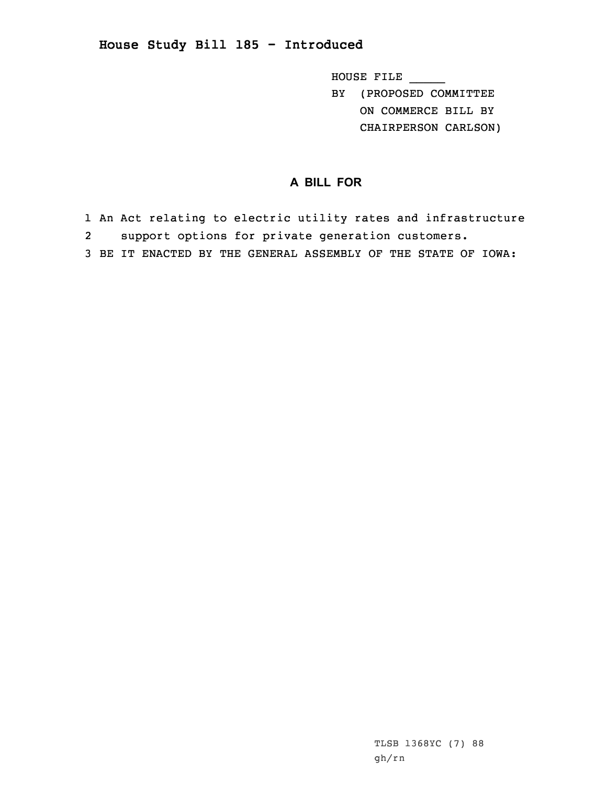## **House Study Bill 185 - Introduced**

HOUSE FILE \_\_\_\_\_ BY (PROPOSED COMMITTEE ON COMMERCE BILL BY CHAIRPERSON CARLSON)

## **A BILL FOR**

1 An Act relating to electric utility rates and infrastructure 2support options for private generation customers.

3 BE IT ENACTED BY THE GENERAL ASSEMBLY OF THE STATE OF IOWA: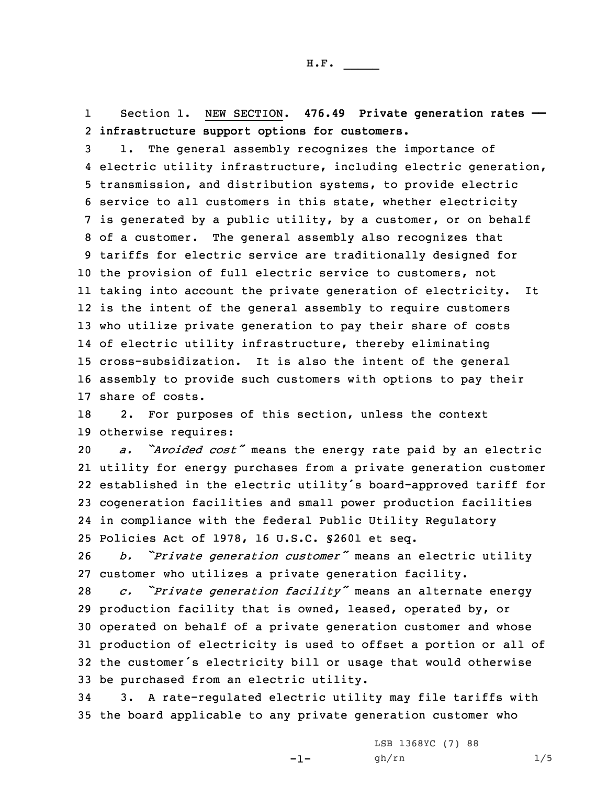1 Section 1. NEW SECTION. **476.49 Private generation rates ——** 2 **infrastructure support options for customers.**

 1. The general assembly recognizes the importance of electric utility infrastructure, including electric generation, transmission, and distribution systems, to provide electric service to all customers in this state, whether electricity is generated by <sup>a</sup> public utility, by <sup>a</sup> customer, or on behalf of <sup>a</sup> customer. The general assembly also recognizes that tariffs for electric service are traditionally designed for the provision of full electric service to customers, not taking into account the private generation of electricity. It is the intent of the general assembly to require customers who utilize private generation to pay their share of costs of electric utility infrastructure, thereby eliminating cross-subsidization. It is also the intent of the general assembly to provide such customers with options to pay their share of costs.

18 2. For purposes of this section, unless the context 19 otherwise requires:

 *a. "Avoided cost"* means the energy rate paid by an electric utility for energy purchases from <sup>a</sup> private generation customer established in the electric utility's board-approved tariff for cogeneration facilities and small power production facilities in compliance with the federal Public Utility Regulatory Policies Act of 1978, 16 U.S.C. §2601 et seq.

<sup>26</sup> *b. "Private generation customer"* means an electric utility 27 customer who utilizes <sup>a</sup> private generation facility.

 *c. "Private generation facility"* means an alternate energy production facility that is owned, leased, operated by, or operated on behalf of <sup>a</sup> private generation customer and whose production of electricity is used to offset <sup>a</sup> portion or all of the customer's electricity bill or usage that would otherwise be purchased from an electric utility.

34 3. <sup>A</sup> rate-regulated electric utility may file tariffs with 35 the board applicable to any private generation customer who

 $-1-$ 

LSB 1368YC (7) 88 gh/rn 1/5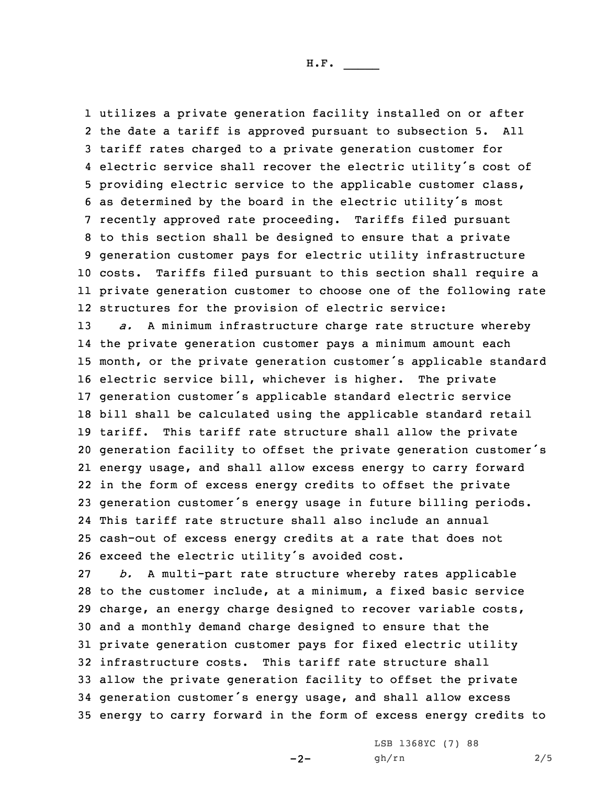utilizes <sup>a</sup> private generation facility installed on or after the date <sup>a</sup> tariff is approved pursuant to subsection 5. All tariff rates charged to <sup>a</sup> private generation customer for electric service shall recover the electric utility's cost of providing electric service to the applicable customer class, as determined by the board in the electric utility's most recently approved rate proceeding. Tariffs filed pursuant to this section shall be designed to ensure that <sup>a</sup> private generation customer pays for electric utility infrastructure costs. Tariffs filed pursuant to this section shall require <sup>a</sup> private generation customer to choose one of the following rate structures for the provision of electric service:

 *a.* <sup>A</sup> minimum infrastructure charge rate structure whereby the private generation customer pays <sup>a</sup> minimum amount each month, or the private generation customer's applicable standard electric service bill, whichever is higher. The private generation customer's applicable standard electric service bill shall be calculated using the applicable standard retail tariff. This tariff rate structure shall allow the private generation facility to offset the private generation customer's energy usage, and shall allow excess energy to carry forward in the form of excess energy credits to offset the private generation customer's energy usage in future billing periods. This tariff rate structure shall also include an annual cash-out of excess energy credits at <sup>a</sup> rate that does not exceed the electric utility's avoided cost.

 *b.* <sup>A</sup> multi-part rate structure whereby rates applicable to the customer include, at <sup>a</sup> minimum, <sup>a</sup> fixed basic service charge, an energy charge designed to recover variable costs, and <sup>a</sup> monthly demand charge designed to ensure that the private generation customer pays for fixed electric utility infrastructure costs. This tariff rate structure shall allow the private generation facility to offset the private generation customer's energy usage, and shall allow excess energy to carry forward in the form of excess energy credits to

 $-2-$ 

LSB 1368YC (7) 88 gh/rn 2/5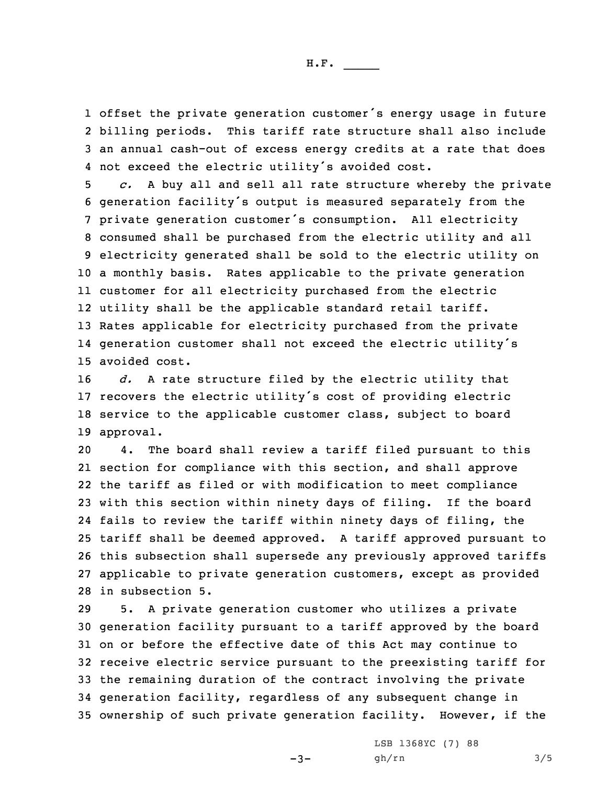H.F. \_\_\_\_\_

1 offset the private generation customer's energy usage in future 2 billing periods. This tariff rate structure shall also include 3 an annual cash-out of excess energy credits at <sup>a</sup> rate that does 4 not exceed the electric utility's avoided cost.

 *c.* <sup>A</sup> buy all and sell all rate structure whereby the private generation facility's output is measured separately from the private generation customer's consumption. All electricity consumed shall be purchased from the electric utility and all electricity generated shall be sold to the electric utility on <sup>a</sup> monthly basis. Rates applicable to the private generation customer for all electricity purchased from the electric utility shall be the applicable standard retail tariff. Rates applicable for electricity purchased from the private generation customer shall not exceed the electric utility's avoided cost.

 *d.* <sup>A</sup> rate structure filed by the electric utility that recovers the electric utility's cost of providing electric service to the applicable customer class, subject to board approval.

 4. The board shall review <sup>a</sup> tariff filed pursuant to this section for compliance with this section, and shall approve the tariff as filed or with modification to meet compliance with this section within ninety days of filing. If the board fails to review the tariff within ninety days of filing, the tariff shall be deemed approved. <sup>A</sup> tariff approved pursuant to this subsection shall supersede any previously approved tariffs applicable to private generation customers, except as provided in subsection 5.

 5. <sup>A</sup> private generation customer who utilizes <sup>a</sup> private generation facility pursuant to <sup>a</sup> tariff approved by the board on or before the effective date of this Act may continue to receive electric service pursuant to the preexisting tariff for the remaining duration of the contract involving the private generation facility, regardless of any subsequent change in ownership of such private generation facility. However, if the

 $-3-$ 

LSB 1368YC (7) 88 gh/rn 3/5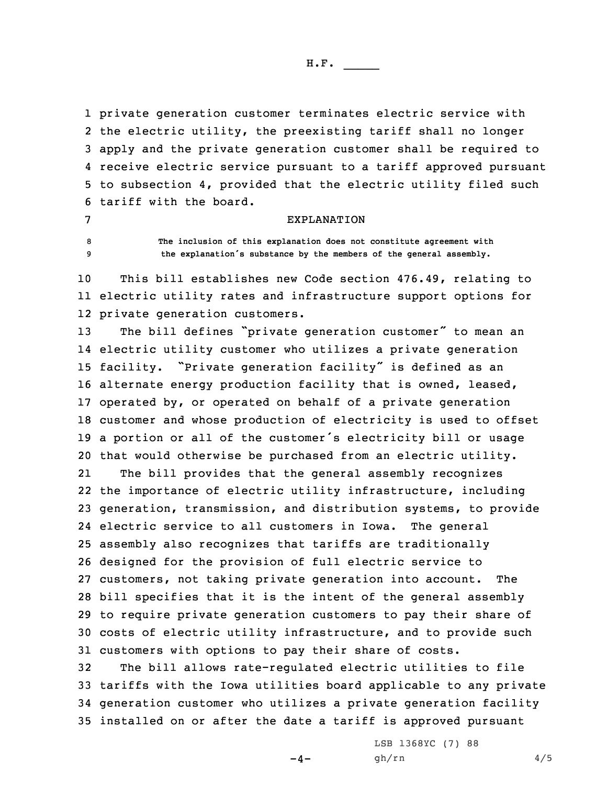H.F. \_\_\_\_\_

 private generation customer terminates electric service with the electric utility, the preexisting tariff shall no longer apply and the private generation customer shall be required to receive electric service pursuant to <sup>a</sup> tariff approved pursuant to subsection 4, provided that the electric utility filed such tariff with the board.

## EXPLANATION

8 **The inclusion of this explanation does not constitute agreement with** <sup>9</sup> **the explanation's substance by the members of the general assembly.**

10 This bill establishes new Code section 476.49, relating to 11 electric utility rates and infrastructure support options for 12 private generation customers.

 The bill defines "private generation customer" to mean an electric utility customer who utilizes <sup>a</sup> private generation facility. "Private generation facility" is defined as an alternate energy production facility that is owned, leased, operated by, or operated on behalf of <sup>a</sup> private generation customer and whose production of electricity is used to offset <sup>a</sup> portion or all of the customer's electricity bill or usage that would otherwise be purchased from an electric utility.

21The bill provides that the general assembly recognizes the importance of electric utility infrastructure, including generation, transmission, and distribution systems, to provide electric service to all customers in Iowa. The general assembly also recognizes that tariffs are traditionally designed for the provision of full electric service to customers, not taking private generation into account. The bill specifies that it is the intent of the general assembly to require private generation customers to pay their share of costs of electric utility infrastructure, and to provide such customers with options to pay their share of costs.

 The bill allows rate-regulated electric utilities to file tariffs with the Iowa utilities board applicable to any private generation customer who utilizes <sup>a</sup> private generation facility installed on or after the date <sup>a</sup> tariff is approved pursuant

 $-4-$ 

LSB 1368YC (7) 88 gh/rn 4/5